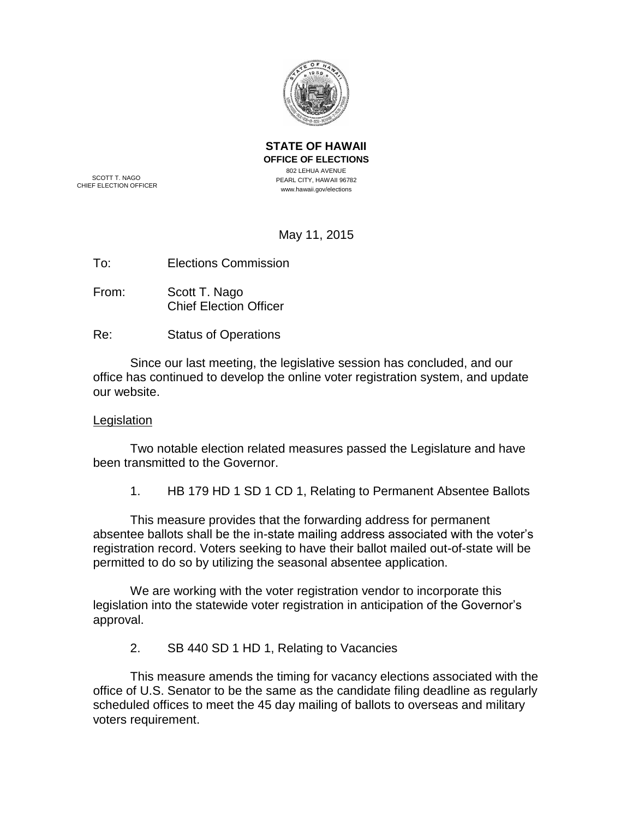

SCOTT T. NAGO CHIEF ELECTION OFFICER **OFFICE OF ELECTIONS** 802 LEHUA AVENUE PEARL CITY, HAWAII 96782 www.hawaii.gov/elections

**STATE OF HAWAII**

May 11, 2015

To: Elections Commission

- From: Scott T. Nago Chief Election Officer
- Re: Status of Operations

Since our last meeting, the legislative session has concluded, and our office has continued to develop the online voter registration system, and update our website.

## **Legislation**

Two notable election related measures passed the Legislature and have been transmitted to the Governor.

1. HB 179 HD 1 SD 1 CD 1, Relating to Permanent Absentee Ballots

This measure provides that the forwarding address for permanent absentee ballots shall be the in-state mailing address associated with the voter's registration record. Voters seeking to have their ballot mailed out-of-state will be permitted to do so by utilizing the seasonal absentee application.

We are working with the voter registration vendor to incorporate this legislation into the statewide voter registration in anticipation of the Governor's approval.

2. SB 440 SD 1 HD 1, Relating to Vacancies

This measure amends the timing for vacancy elections associated with the office of U.S. Senator to be the same as the candidate filing deadline as regularly scheduled offices to meet the 45 day mailing of ballots to overseas and military voters requirement.